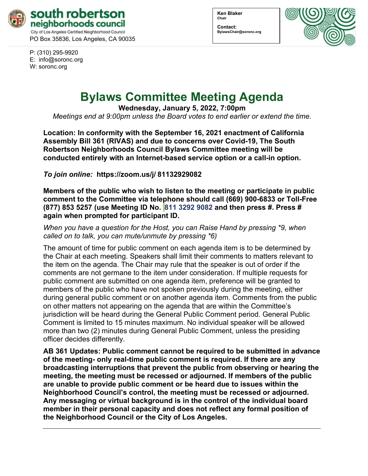

PO Box 35836, Los Angeles, CA 90035

P: (310) 295-9920 E: [info@soronc.org](mailto:info@soronc.org) W: soronc.org

**Ken Blaker Chair**

**Contact: BylawsChair@soronc.org**



# **Bylaws Committee Meeting Agenda**

**Wednesday, January 5, 2022, 7:00pm**

*Meetings end at 9:00pm unless the Board votes to end earlier or extend the time.*

**Location: In conformity with the September 16, 2021 enactment of California Assembly Bill 361 (RIVAS) and due to concerns over Covid-19, The South Robertson Neighborhoods Council Bylaws Committee meeting will be conducted entirely with an Internet-based service option or a call-in option.**

*To join online:* **[https://zoom.us/j/](https://zoom.us/j/%2081132929082) 81132929082**

**Members of the public who wish to listen to the meeting or participate in public comment to the Committee via telephone should call (669) 900-6833 or Toll-Free (877) 853 5257 (use Meeting ID No. 811 3292 9082 and then press #. Press # again when prompted for participant ID.** 

*When you have a question for the Host, you can Raise Hand by pressing \*9, when called on to talk, you can mute/unmute by pressing \*6)* 

The amount of time for public comment on each agenda item is to be determined by the Chair at each meeting. Speakers shall limit their comments to matters relevant to the item on the agenda. The Chair may rule that the speaker is out of order if the comments are not germane to the item under consideration. If multiple requests for public comment are submitted on one agenda item, preference will be granted to members of the public who have not spoken previously during the meeting, either during general public comment or on another agenda item. Comments from the public on other matters not appearing on the agenda that are within the Committee's jurisdiction will be heard during the General Public Comment period. General Public Comment is limited to 15 minutes maximum. No individual speaker will be allowed more than two (2) minutes during General Public Comment, unless the presiding officer decides differently.

**AB 361 Updates: Public comment cannot be required to be submitted in advance of the meeting- only real-time public comment is required. If there are any broadcasting interruptions that prevent the public from observing or hearing the meeting, the meeting must be recessed or adjourned. If members of the public are unable to provide public comment or be heard due to issues within the Neighborhood Council's control, the meeting must be recessed or adjourned. Any messaging or virtual background is in the control of the individual board member in their personal capacity and does not reflect any formal position of the Neighborhood Council or the City of Los Angeles.**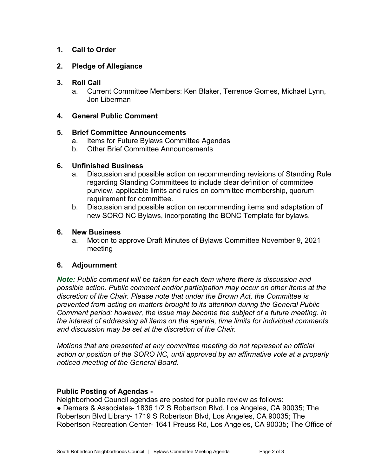## **1. Call to Order**

## **2. Pledge of Allegiance**

### **3. Roll Call**

a. Current Committee Members: Ken Blaker, Terrence Gomes, Michael Lynn, Jon Liberman

### **4. General Public Comment**

#### **5. Brief Committee Announcements**

- a. Items for Future Bylaws Committee Agendas
- b. Other Brief Committee Announcements

#### **6. Unfinished Business**

- a. Discussion and possible action on recommending revisions of Standing Rule regarding Standing Committees to include clear definition of committee purview, applicable limits and rules on committee membership, quorum requirement for committee.
- b. Discussion and possible action on recommending items and adaptation of new SORO NC Bylaws, incorporating the BONC Template for bylaws.

#### **6. New Business**

a. Motion to approve Draft Minutes of Bylaws Committee November 9, 2021 meeting

## **6. Adjournment**

*Note: Public comment will be taken for each item where there is discussion and possible action. Public comment and/or participation may occur on other items at the discretion of the Chair. Please note that under the Brown Act, the Committee is prevented from acting on matters brought to its attention during the General Public Comment period; however, the issue may become the subject of a future meeting. In the interest of addressing all items on the agenda, time limits for individual comments and discussion may be set at the discretion of the Chair.*

*Motions that are presented at any committee meeting do not represent an official action or position of the SORO NC, until approved by an affirmative vote at a properly noticed meeting of the General Board.*

#### **Public Posting of Agendas -**

Neighborhood Council agendas are posted for public review as follows:

● Demers & Associates- 1836 1/2 S Robertson Blvd, Los Angeles, CA 90035; The Robertson Blvd Library- 1719 S Robertson Blvd, Los Angeles, CA 90035; The Robertson Recreation Center- 1641 Preuss Rd, Los Angeles, CA 90035; The Office of